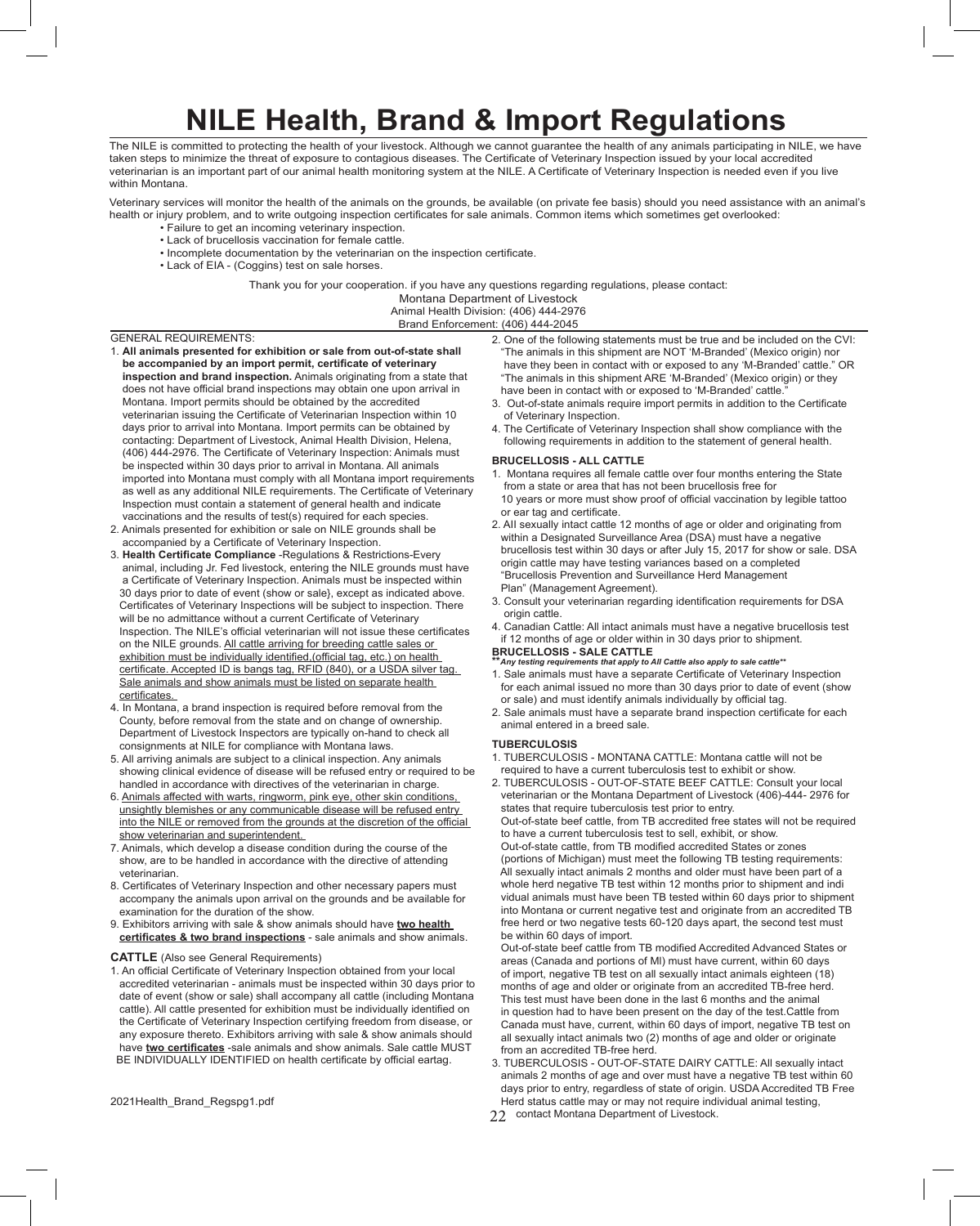# **NILE Health, Brand & Import Regulations**

The NILE is committed to protecting the health of your livestock. Although we cannot guarantee the health of any animals participating in NILE, we have taken steps to minimize the threat of exposure to contagious diseases. The Certificate of Veterinary Inspection issued by your local accredited veterinarian is an important part of our animal health monitoring system at the NILE. A Certificate of Veterinary Inspection is needed even if you live within Montana.

Veterinary services will monitor the health of the animals on the grounds, be available (on private fee basis) should you need assistance with an animal's health or injury problem, and to write outgoing inspection certificates for sale animals. Common items which sometimes get overlooked:

- Failure to get an incoming veterinary inspection.
- Lack of brucellosis vaccination for female cattle.
- Incomplete documentation by the veterinarian on the inspection certificate.
- Lack of EIA (Coggins) test on sale horses.

Thank you for your cooperation. if you have any questions regarding regulations, please contact:

Montana Department of Livestock Animal Health Division: (406) 444-2976

Brand Enforcement: (406) 444-2045

### GENERAL REQUIREMENTS:

- 1. **All animals presented for exhibition or sale from out-of-state shall be accompanied by an import permit, certificate of veterinary inspection and brand inspection.** Animals originating from a state that does not have official brand inspections may obtain one upon arrival in Montana. Import permits should be obtained by the accredited veterinarian issuing the Certificate of Veterinarian Inspection within 10 days prior to arrival into Montana. Import permits can be obtained by contacting: Department of Livestock, Animal Health Division, Helena, (406) 444-2976. The Certificate of Veterinary Inspection: Animals must be inspected within 30 days prior to arrival in Montana. All animals imported into Montana must comply with all Montana import requirements as well as any additional NILE requirements. The Certificate of Veterinary Inspection must contain a statement of general health and indicate vaccinations and the results of test(s) required for each species.
- 2. Animals presented for exhibition or sale on NILE grounds shall be accompanied by a Certificate of Veterinary Inspection.
- 3. **Health Certificate Compliance** -Regulations & Restrictions-Every animal, including Jr. Fed livestock, entering the NILE grounds must have a Certificate of Veterinary Inspection. Animals must be inspected within 30 days prior to date of event (show or sale}, except as indicated above. Certificates of Veterinary Inspections will be subject to inspection. There will be no admittance without a current Certificate of Veterinary Inspection. The NILE's official veterinarian will not issue these certificates on the NILE grounds. All cattle arriving for breeding cattle sales or exhibition must be individually identified,(official tag, etc.) on health certificate. Accepted ID is bangs tag, RFID (840), or a USDA silver tag. Sale animals and show animals must be listed on separate health certificates.
- 4. In Montana, a brand inspection is required before removal from the County, before removal from the state and on change of ownership. Department of Livestock Inspectors are typically on-hand to check all consignments at NILE for compliance with Montana laws.
- 5. All arriving animals are subject to a clinical inspection. Any animals showing clinical evidence of disease will be refused entry or required to be handled in accordance with directives of the veterinarian in charge.
- 6. Animals affected with warts, ringworm, pink eye, other skin conditions, unsightly blemishes or any communicable disease will be refused entry into the NILE or removed from the grounds at the discretion of the official show veterinarian and superintendent.
- 7. Animals, which develop a disease condition during the course of the show, are to be handled in accordance with the directive of attending veterinarian.
- 8. Certificates of Veterinary Inspection and other necessary papers must accompany the animals upon arrival on the grounds and be available for examination for the duration of the show.
- 9. Exhibitors arriving with sale & show animals should have **two health certificates & two brand inspections** - sale animals and show animals.

#### **CATTLE** (Also see General Requirements)

- 1. An official Certificate of Veterinary Inspection obtained from your local accredited veterinarian - animals must be inspected within 30 days prior to date of event (show or sale) shall accompany all cattle (including Montana cattle). All cattle presented for exhibition must be individually identified on the Certificate of Veterinary Inspection certifying freedom from disease, or any exposure thereto. Exhibitors arriving with sale & show animals should have **two certificates** -sale animals and show animals. Sale cattle MUST BE INDIVIDUALLY IDENTIFIED on health certificate by official eartag.
- 2021Health\_Brand\_Regspg1.pdf
- 2. One of the following statements must be true and be included on the CVI: "The animals in this shipment are NOT 'M-Branded' (Mexico origin) nor have they been in contact with or exposed to any 'M-Branded' cattle." OR "The animals in this shipment ARE 'M-Branded' (Mexico origin) or they have been in contact with or exposed to 'M-Branded' cattle.
- 3. Out-of-state animals require import permits in addition to the Certificate of Veterinary Inspection.
- 4. The Certificate of Veterinary Inspection shall show compliance with the following requirements in addition to the statement of general health.

#### **BRUCELLOSIS - ALL CATTLE**

- 1. Montana requires all female cattle over four months entering the State from a state or area that has not been brucellosis free for 10 years or more must show proof of official vaccination by legible tattoo or ear tag and certificate.
- 2. AII sexually intact cattle 12 months of age or older and originating from within a Designated Surveillance Area (DSA) must have a negative brucellosis test within 30 days or after July 15, 2017 for show or sale. DSA origin cattle may have testing variances based on a completed "Brucellosis Prevention and Surveillance Herd Management Plan" (Management Agreement).
- 3. Consult your veterinarian regarding identification requirements for DSA origin cattle.
- 4. Canadian Cattle: All intact animals must have a negative brucellosis test if 12 months of age or older within in 30 days prior to shipment.

## **BRUCELLOSIS - SALE CATTLE**

- **\*\****Any testing requirements that apply to All Cattle also apply to sale cattle\*\** 1. Sale animals must have a separate Certificate of Veterinary Inspection for each animal issued no more than 30 days prior to date of event (show or sale) and must identify animals individually by official tag.
- 2. Sale animals must have a separate brand inspection certificate for each animal entered in a breed sale.

#### **TUBERCULOSIS**

- 1. TUBERCULOSIS MONTANA CATTLE: Montana cattle will not be required to have a current tuberculosis test to exhibit or show.
- 2. TUBERCULOSIS OUT-OF-STATE BEEF CATTLE: Consult your local veterinarian or the Montana Department of Livestock (406)-444- 2976 for states that require tuberculosis test prior to entry.

 Out-of-state beef cattle, from TB accredited free states will not be required to have a current tuberculosis test to sell, exhibit, or show. Out-of-state cattle, from TB modified accredited States or zones (portions of Michigan) must meet the following TB testing requirements: All sexually intact animals 2 months and older must have been part of a whole herd negative TB test within 12 months prior to shipment and indi vidual animals must have been TB tested within 60 days prior to shipment into Montana or current negative test and originate from an accredited TB free herd or two negative tests 60-120 days apart, the second test must be within 60 days of import.

 Out-of-state beef cattle from TB modified Accredited Advanced States or areas (Canada and portions of Ml) must have current, within 60 days of import, negative TB test on all sexually intact animals eighteen (18) months of age and older or originate from an accredited TB-free herd. This test must have been done in the last 6 months and the animal in question had to have been present on the day of the test.Cattle from Canada must have, current, within 60 days of import, negative TB test on all sexually intact animals two (2) months of age and older or originate from an accredited TB-free herd.

- 3. TUBERCULOSIS OUT-OF-STATE DAIRY CATTLE: All sexually intact animals 2 months of age and over must have a negative TB test within 60 days prior to entry, regardless of state of origin. USDA Accredited TB Free Herd status cattle may or may not require individual animal testing,
- 22 contact Montana Department of Livestock.